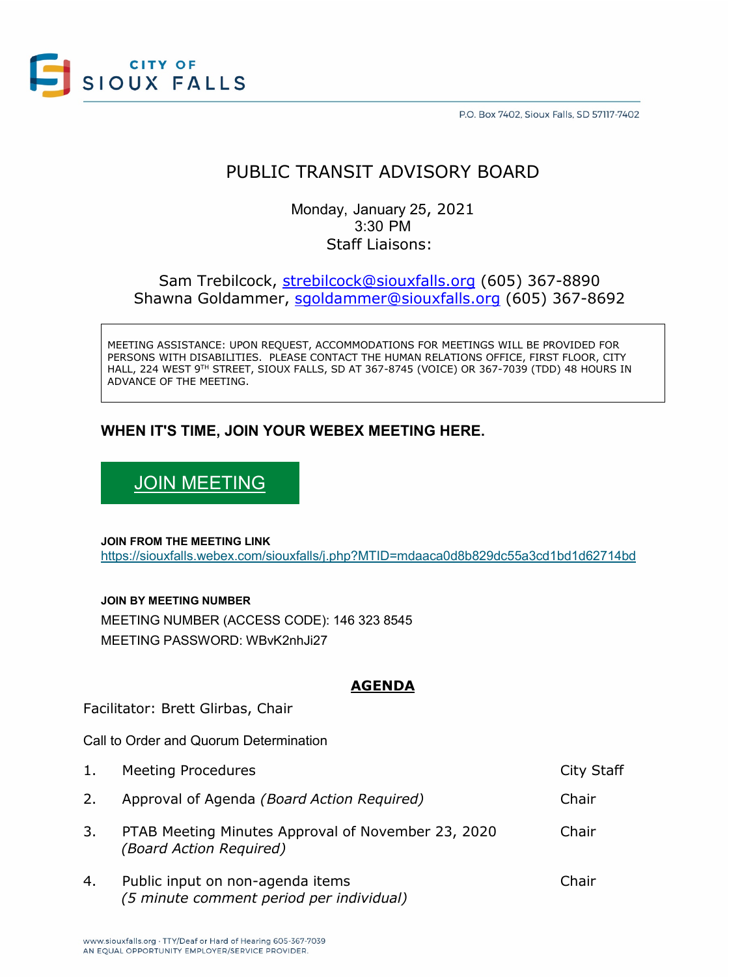

P.O. Box 7402, Sioux Falls, SD 57117-7402

# PUBLIC TRANSIT ADVISORY BOARD

Monday, January 25, 2021 3:30 PM Staff Liaisons:

Sam Trebilcock, [strebilcock@siouxfalls.org](mailto:strebilcock@siouxfalls.org) (605) 367-8890 Shawna Goldammer, [sgoldammer@siouxfalls.org](mailto:sgoldammer@siouxfalls.org) (605) 367-8692

MEETING ASSISTANCE: UPON REQUEST, ACCOMMODATIONS FOR MEETINGS WILL BE PROVIDED FOR PERSONS WITH DISABILITIES. PLEASE CONTACT THE HUMAN RELATIONS OFFICE, FIRST FLOOR, CITY HALL, 224 WEST 9TH STREET, SIOUX FALLS, SD AT 367-8745 (VOICE) OR 367-7039 (TDD) 48 HOURS IN ADVANCE OF THE MEETING.

# **WHEN IT'S TIME, JOIN YOUR WEBEX MEETING HERE.**

[JOIN MEETING](https://siouxfalls.webex.com/siouxfalls/j.php?MTID=mdaaca0d8b829dc55a3cd1bd1d62714bd)

**JOIN FROM THE MEETING LINK**  <https://siouxfalls.webex.com/siouxfalls/j.php?MTID=mdaaca0d8b829dc55a3cd1bd1d62714bd>

**JOIN BY MEETING NUMBER** 

MEETING NUMBER (ACCESS CODE): 146 323 8545 MEETING PASSWORD: WBvK2nhJi27

## **AGENDA**

Facilitator: Brett Glirbas, Chair

Call to Order and Quorum Determination

| 1. | <b>Meeting Procedures</b>                                                     | <b>City Staff</b> |
|----|-------------------------------------------------------------------------------|-------------------|
| 2. | Approval of Agenda (Board Action Required)                                    | Chair             |
| 3. | PTAB Meeting Minutes Approval of November 23, 2020<br>(Board Action Required) | Chair             |
| 4. | Public input on non-agenda items<br>(5 minute comment period per individual)  | Chair             |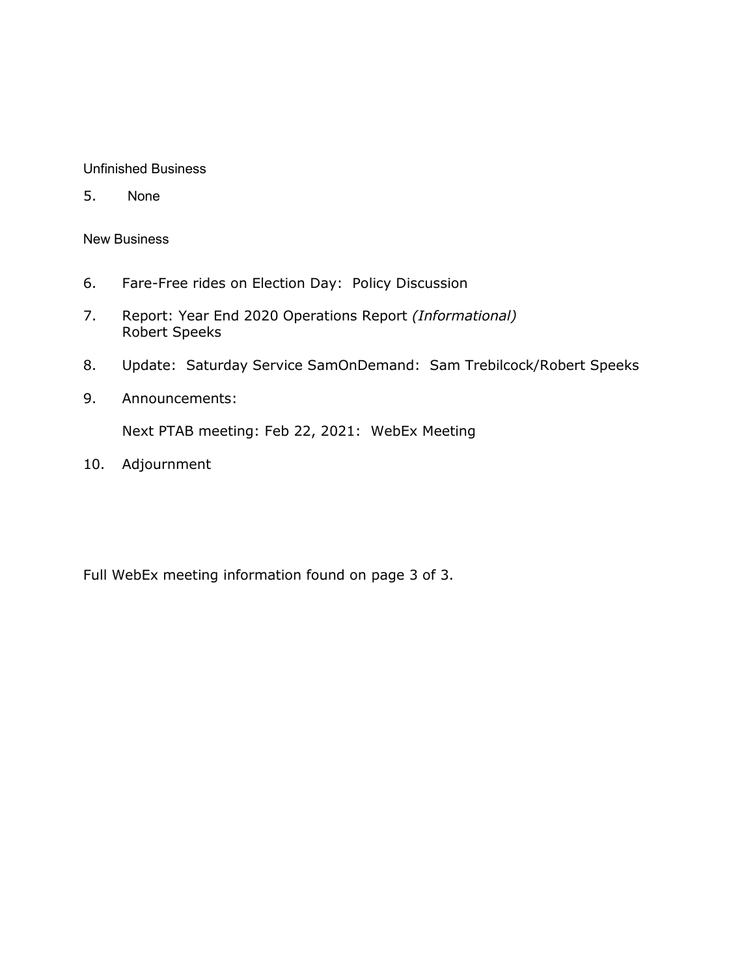### Unfinished Business

5. None

#### New Business

- 6. Fare-Free rides on Election Day: Policy Discussion
- 7. Report: Year End 2020 Operations Report *(Informational)*  Robert Speeks
- 8. Update: Saturday Service SamOnDemand: Sam Trebilcock/Robert Speeks
- 9. Announcements:

Next PTAB meeting: Feb 22, 2021: WebEx Meeting

10. Adjournment

Full WebEx meeting information found on page 3 of 3.